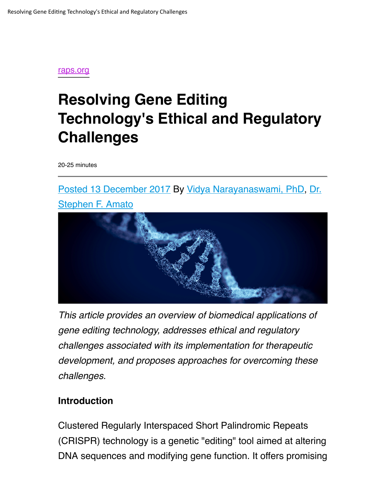

# **Resolving Gene Editing Technology's Ethical and Regulatory Challenges**

20-25 minutes

Posted 13 December 2017 By Vidya Narayanaswami, PhD, Dr.



*This article provides an overview of biomedical applications of gene editing technology, addresses ethical and regulatory challenges associated with its implementation for therapeutic development, and proposes approaches for overcoming these challenges.*

#### **Introduction**

Clustered Regularly Interspaced Short Palindromic Repeats (CRISPR) technology is a genetic "editing" tool aimed at altering DNA sequences and modifying gene function. It offers promising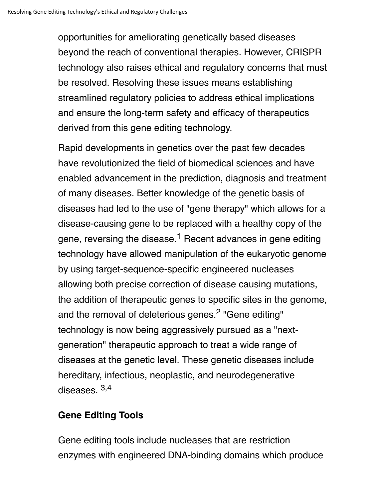opportunities for ameliorating genetically based diseases beyond the reach of conventional therapies. However, CRISPR technology also raises ethical and regulatory concerns that must be resolved. Resolving these issues means establishing streamlined regulatory policies to address ethical implications and ensure the long-term safety and efficacy of therapeutics derived from this gene editing technology.

Rapid developments in genetics over the past few decades have revolutionized the field of biomedical sciences and have enabled advancement in the prediction, diagnosis and treatment of many diseases. Better knowledge of the genetic basis of diseases had led to the use of "gene therapy" which allows for a disease-causing gene to be replaced with a healthy copy of the gene, reversing the disease.<sup>1</sup> Recent advances in gene editing technology have allowed manipulation of the eukaryotic genome by using target-sequence-specific engineered nucleases allowing both precise correction of disease causing mutations, the addition of therapeutic genes to specific sites in the genome, and the removal of deleterious genes.<sup>2</sup> "Gene editing" technology is now being aggressively pursued as a "nextgeneration" therapeutic approach to treat a wide range of diseases at the genetic level. These genetic diseases include hereditary, infectious, neoplastic, and neurodegenerative diseases. 3,4

### **Gene Editing Tools**

Gene editing tools include nucleases that are restriction enzymes with engineered DNA-binding domains which produce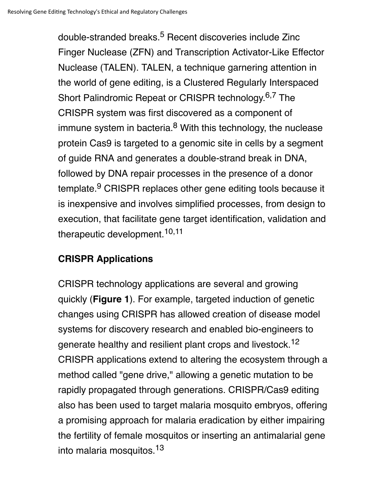double-stranded breaks.<sup>5</sup> Recent discoveries include Zinc Finger Nuclease (ZFN) and Transcription Activator-Like Effector Nuclease (TALEN). TALEN, a technique garnering attention in the world of gene editing, is a Clustered Regularly Interspaced Short Palindromic Repeat or CRISPR technology.<sup>6,7</sup> The CRISPR system was first discovered as a component of immune system in bacteria. $8$  With this technology, the nuclease protein Cas9 is targeted to a genomic site in cells by a segment of guide RNA and generates a double-strand break in DNA, followed by DNA repair processes in the presence of a donor template.<sup>9</sup> CRISPR replaces other gene editing tools because it is inexpensive and involves simplified processes, from design to execution, that facilitate gene target identification, validation and therapeutic development.<sup>10,11</sup>

## **CRISPR Applications**

CRISPR technology applications are several and growing quickly (**Figure 1**). For example, targeted induction of genetic changes using CRISPR has allowed creation of disease model systems for discovery research and enabled bio-engineers to generate healthy and resilient plant crops and livestock.<sup>12</sup> CRISPR applications extend to altering the ecosystem through a method called "gene drive," allowing a genetic mutation to be rapidly propagated through generations. CRISPR/Cas9 editing also has been used to target malaria mosquito embryos, offering a promising approach for malaria eradication by either impairing the fertility of female mosquitos or inserting an antimalarial gene into malaria mosquitos.13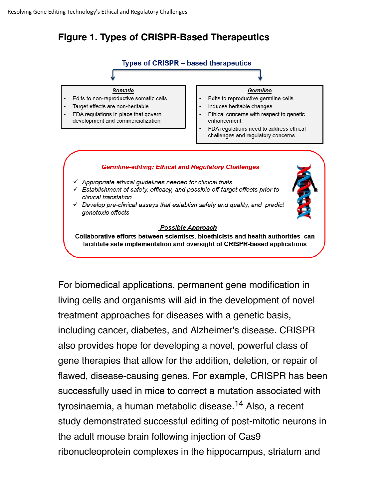## **Figure 1. Types of CRISPR-Based Therapeutics**



For biomedical applications, permanent gene modification in living cells and organisms will aid in the development of novel treatment approaches for diseases with a genetic basis, including cancer, diabetes, and Alzheimer's disease. CRISPR also provides hope for developing a novel, powerful class of gene therapies that allow for the addition, deletion, or repair of flawed, disease-causing genes. For example, CRISPR has been successfully used in mice to correct a mutation associated with tyrosinaemia, a human metabolic disease.14 Also, a recent study demonstrated successful editing of post-mitotic neurons in the adult mouse brain following injection of Cas9 ribonucleoprotein complexes in the hippocampus, striatum and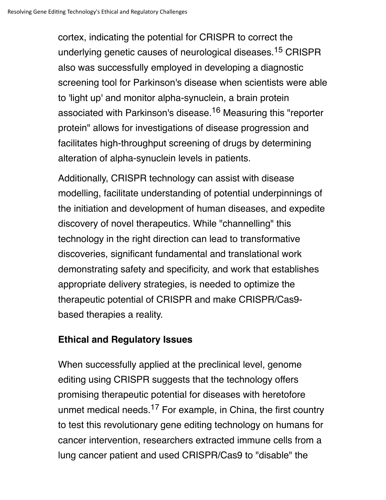cortex, indicating the potential for CRISPR to correct the underlying genetic causes of neurological diseases.<sup>15</sup> CRISPR also was successfully employed in developing a diagnostic screening tool for Parkinson's disease when scientists were able to 'light up' and monitor alpha-synuclein, a brain protein associated with Parkinson's disease.<sup>16</sup> Measuring this "reporter protein" allows for investigations of disease progression and facilitates high-throughput screening of drugs by determining alteration of alpha-synuclein levels in patients.

Additionally, CRISPR technology can assist with disease modelling, facilitate understanding of potential underpinnings of the initiation and development of human diseases, and expedite discovery of novel therapeutics. While "channelling" this technology in the right direction can lead to transformative discoveries, significant fundamental and translational work demonstrating safety and specificity, and work that establishes appropriate delivery strategies, is needed to optimize the therapeutic potential of CRISPR and make CRISPR/Cas9 based therapies a reality.

### **Ethical and Regulatory Issues**

When successfully applied at the preclinical level, genome editing using CRISPR suggests that the technology offers promising therapeutic potential for diseases with heretofore unmet medical needs.<sup>17</sup> For example, in China, the first country to test this revolutionary gene editing technology on humans for cancer intervention, researchers extracted immune cells from a lung cancer patient and used CRISPR/Cas9 to "disable" the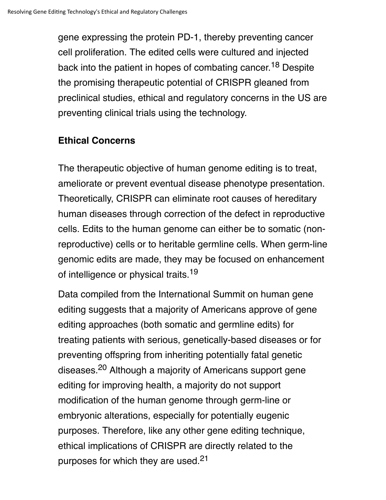gene expressing the protein PD-1, thereby preventing cancer cell proliferation. The edited cells were cultured and injected back into the patient in hopes of combating cancer.<sup>18</sup> Despite the promising therapeutic potential of CRISPR gleaned from preclinical studies, ethical and regulatory concerns in the US are preventing clinical trials using the technology.

### **Ethical Concerns**

The therapeutic objective of human genome editing is to treat, ameliorate or prevent eventual disease phenotype presentation. Theoretically, CRISPR can eliminate root causes of hereditary human diseases through correction of the defect in reproductive cells. Edits to the human genome can either be to somatic (nonreproductive) cells or to heritable germline cells. When germ-line genomic edits are made, they may be focused on enhancement of intelligence or physical traits.<sup>19</sup>

Data compiled from the International Summit on human gene editing suggests that a majority of Americans approve of gene editing approaches (both somatic and germline edits) for treating patients with serious, genetically-based diseases or for preventing offspring from inheriting potentially fatal genetic diseases.<sup>20</sup> Although a majority of Americans support gene editing for improving health, a majority do not support modification of the human genome through germ-line or embryonic alterations, especially for potentially eugenic purposes. Therefore, like any other gene editing technique, ethical implications of CRISPR are directly related to the purposes for which they are used.<sup>21</sup>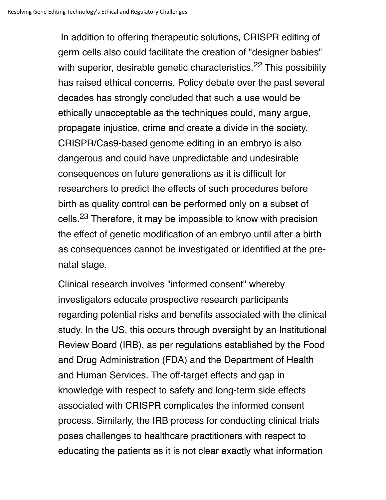In addition to offering therapeutic solutions, CRISPR editing of germ cells also could facilitate the creation of "designer babies" with superior, desirable genetic characteristics.<sup>22</sup> This possibility has raised ethical concerns. Policy debate over the past several decades has strongly concluded that such a use would be ethically unacceptable as the techniques could, many argue, propagate injustice, crime and create a divide in the society. CRISPR/Cas9-based genome editing in an embryo is also dangerous and could have unpredictable and undesirable consequences on future generations as it is difficult for researchers to predict the effects of such procedures before birth as quality control can be performed only on a subset of cells.<sup>23</sup> Therefore, it may be impossible to know with precision the effect of genetic modification of an embryo until after a birth as consequences cannot be investigated or identified at the prenatal stage.

Clinical research involves "informed consent" whereby investigators educate prospective research participants regarding potential risks and benefits associated with the clinical study. In the US, this occurs through oversight by an Institutional Review Board (IRB), as per regulations established by the Food and Drug Administration (FDA) and the Department of Health and Human Services. The off-target effects and gap in knowledge with respect to safety and long-term side effects associated with CRISPR complicates the informed consent process. Similarly, the IRB process for conducting clinical trials poses challenges to healthcare practitioners with respect to educating the patients as it is not clear exactly what information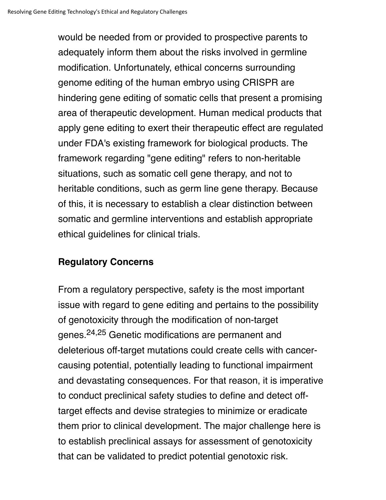would be needed from or provided to prospective parents to adequately inform them about the risks involved in germline modification. Unfortunately, ethical concerns surrounding genome editing of the human embryo using CRISPR are hindering gene editing of somatic cells that present a promising area of therapeutic development. Human medical products that apply gene editing to exert their therapeutic effect are regulated under FDA's existing framework for biological products. The framework regarding "gene editing" refers to non-heritable situations, such as somatic cell gene therapy, and not to heritable conditions, such as germ line gene therapy. Because of this, it is necessary to establish a clear distinction between somatic and germline interventions and establish appropriate ethical guidelines for clinical trials.

#### **Regulatory Concerns**

From a regulatory perspective, safety is the most important issue with regard to gene editing and pertains to the possibility of genotoxicity through the modification of non-target genes.24,25 Genetic modifications are permanent and deleterious off-target mutations could create cells with cancercausing potential, potentially leading to functional impairment and devastating consequences. For that reason, it is imperative to conduct preclinical safety studies to define and detect offtarget effects and devise strategies to minimize or eradicate them prior to clinical development. The major challenge here is to establish preclinical assays for assessment of genotoxicity that can be validated to predict potential genotoxic risk.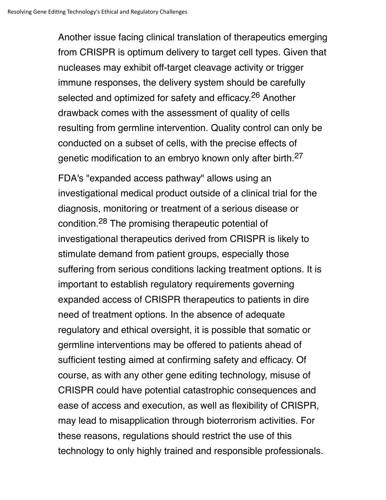Another issue facing clinical translation of therapeutics emerging from CRISPR is optimum delivery to target cell types. Given that nucleases may exhibit off-target cleavage activity or trigger immune responses, the delivery system should be carefully selected and optimized for safety and efficacy.<sup>26</sup> Another drawback comes with the assessment of quality of cells resulting from germline intervention. Quality control can only be conducted on a subset of cells, with the precise effects of genetic modification to an embryo known only after birth.<sup>27</sup>

FDA's "expanded access pathway" allows using an investigational medical product outside of a clinical trial for the diagnosis, monitoring or treatment of a serious disease or condition.28 The promising therapeutic potential of investigational therapeutics derived from CRISPR is likely to stimulate demand from patient groups, especially those suffering from serious conditions lacking treatment options. It is important to establish regulatory requirements governing expanded access of CRISPR therapeutics to patients in dire need of treatment options. In the absence of adequate regulatory and ethical oversight, it is possible that somatic or germline interventions may be offered to patients ahead of sufficient testing aimed at confirming safety and efficacy. Of course, as with any other gene editing technology, misuse of CRISPR could have potential catastrophic consequences and ease of access and execution, as well as flexibility of CRISPR, may lead to misapplication through bioterrorism activities. For these reasons, regulations should restrict the use of this technology to only highly trained and responsible professionals.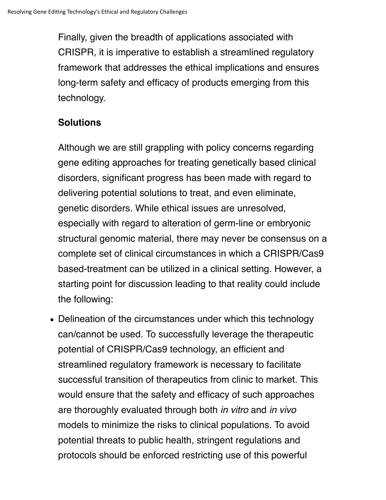Finally, given the breadth of applications associated with CRISPR, it is imperative to establish a streamlined regulatory framework that addresses the ethical implications and ensures long-term safety and efficacy of products emerging from this technology.

# **Solutions**

Although we are still grappling with policy concerns regarding gene editing approaches for treating genetically based clinical disorders, significant progress has been made with regard to delivering potential solutions to treat, and even eliminate, genetic disorders. While ethical issues are unresolved, especially with regard to alteration of germ-line or embryonic structural genomic material, there may never be consensus on a complete set of clinical circumstances in which a CRISPR/Cas9 based-treatment can be utilized in a clinical setting. However, a starting point for discussion leading to that reality could include the following:

• Delineation of the circumstances under which this technology can/cannot be used. To successfully leverage the therapeutic potential of CRISPR/Cas9 technology, an efficient and streamlined regulatory framework is necessary to facilitate successful transition of therapeutics from clinic to market. This would ensure that the safety and efficacy of such approaches are thoroughly evaluated through both *in vitro* and *in vivo* models to minimize the risks to clinical populations. To avoid potential threats to public health, stringent regulations and protocols should be enforced restricting use of this powerful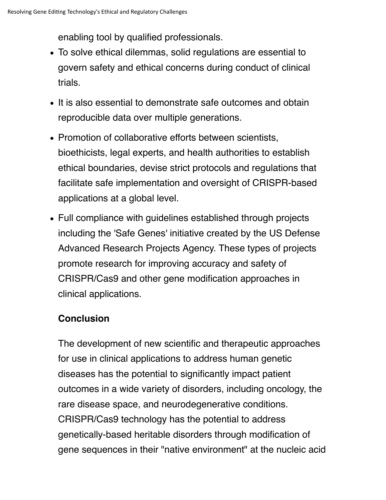enabling tool by qualified professionals.

- To solve ethical dilemmas, solid regulations are essential to govern safety and ethical concerns during conduct of clinical trials.
- It is also essential to demonstrate safe outcomes and obtain reproducible data over multiple generations.
- Promotion of collaborative efforts between scientists, bioethicists, legal experts, and health authorities to establish ethical boundaries, devise strict protocols and regulations that facilitate safe implementation and oversight of CRISPR-based applications at a global level.
- Full compliance with guidelines established through projects including the 'Safe Genes' initiative created by the US Defense Advanced Research Projects Agency. These types of projects promote research for improving accuracy and safety of CRISPR/Cas9 and other gene modification approaches in clinical applications.

### **Conclusion**

The development of new scientific and therapeutic approaches for use in clinical applications to address human genetic diseases has the potential to significantly impact patient outcomes in a wide variety of disorders, including oncology, the rare disease space, and neurodegenerative conditions. CRISPR/Cas9 technology has the potential to address genetically-based heritable disorders through modification of gene sequences in their "native environment" at the nucleic acid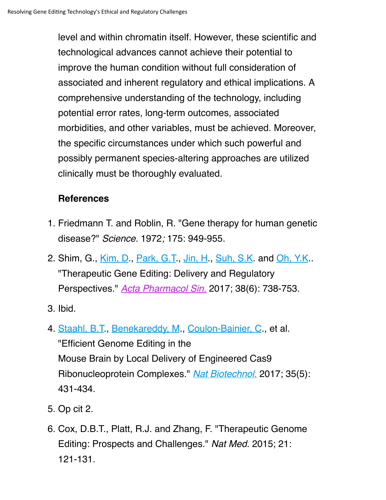level and within chromatin itself. However, these scientific and technological advances cannot achieve their potential to improve the human condition without full consideration of associated and inherent regulatory and ethical implications. A comprehensive understanding of the technology, including potential error rates, long-term outcomes, associated morbidities, and other variables, must be achieved. Moreover, the specific circumstances under which such powerful and possibly permanent species-altering approaches are utilized clinically must be thoroughly evaluated.

## **References**

- 1. Friedmann T. and Roblin, R. "Gene therapy for human genetic disease?" *Science.* 1972*;* 175: 949-955.
- 2. Shim, G., <u>Kim, D., Park, G.T., Jin, H., Suh, S.K</u>. and <u>Oh, Y.K</u>.. "Therapeutic Gene Editing: Delivery and Regulatory Perspectives." *Acta Pharmacol Sin*. 2017; 38(6): 738-753.
- 3. Ibid.
- 4. <u>Staahl, B.T., Benekareddy, M</u>., <u>Coulon-Bainier, C</u>., et al. "Efficient Genome Editing in the Mouse Brain by Local Delivery of Engineered Cas9 Ribonucleoprotein Complexes." *Nat Biotechnol*. 2017; 35(5): 431-434.
- 5. Op cit 2.
- 6. Cox, D.B.T., Platt, R.J. and Zhang, F. "Therapeutic Genome Editing: Prospects and Challenges." *Nat Med.* 2015; 21: 121-131.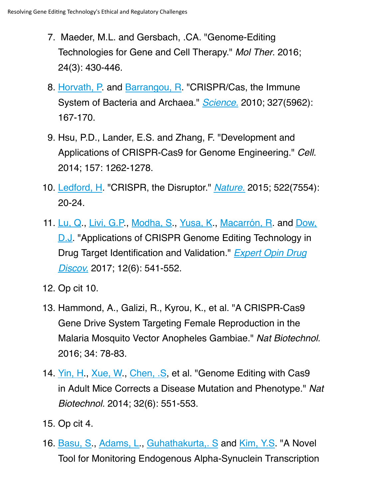- 7. Maeder, M.L. and Gersbach, .CA. "Genome-Editing Technologies for Gene and Cell Therapy." *Mol Ther*. 2016; 24(3): 430-446.
- 8. Horvath, P. and Barrangou, R. "CRISPR/Cas, the Immune System of Bacteria and Archaea." *Science.* 2010; 327(5962): 167-170.
- 9. Hsu, P.D., Lander, E.S. and Zhang, F. "Development and Applications of CRISPR-Cas9 for Genome Engineering." *Cell.* 2014; 157: 1262-1278.
- Ledford, H. "CRISPR, the Disruptor." *Nature.* 2015; 522(7554): 10. 20-24.
- 11. Lu, Q., Livi, G.P., Modha, S., Yusa, K., Macarrón, R. and Dow, D.J. "Applications of CRISPR Genome Editing Technology in Drug Target Identification and Validation." *Expert Opin Drug Discov.* 2017; 12(6): 541-552.
- 12. Op cit 10.
- 13. Hammond, A., Galizi, R., Kyrou, K., et al. "A CRISPR-Cas9 Gene Drive System Targeting Female Reproduction in the Malaria Mosquito Vector Anopheles Gambiae." *Nat Biotechnol.* 2016; 34: 78-83.
- 14. Yin, H., Xue, W., Chen, .S., et al. "Genome Editing with Cas9 in Adult Mice Corrects a Disease Mutation and Phenotype." *Nat Biotechnol.* 2014; 32(6): 551-553.
- 15. Op cit 4.
- 16. **Basu, S., Adams, L., Guhathakurta,. S and Kim, Y.S. "A Novel** Tool for Monitoring Endogenous Alpha-Synuclein Transcription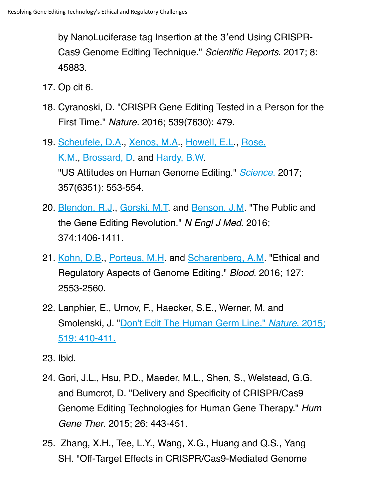by NanoLuciferase tag Insertion at the 3′end Using CRISPR-Cas9 Genome Editing Technique." *Scientific Reports*. 2017; 8: 45883.

- 17. Op cit 6.
- 18. Cyranoski, D. "CRISPR Gene Editing Tested in a Person for the First Time." *Nature.* 2016; 539(7630): 479.
- 19. Scheufele, D.A., Xenos, M.A., Howell, E.L., Rose, K.M., Brossard, D. and Hardy, B.W. "US Attitudes on Human Genome Editing." *Science.* 2017; 357(6351): 553-554.
- 20. <u>Blendon, R.J</u>., <u>Gorski, M.T</u>. and <u>Benson, J.M</u>. "The Public and the Gene Editing Revolution." *N Engl J Med*. 2016; 374:1406-1411.
- 21. Kohn, D.B., Porteus, M.H. and Scharenberg, A.M. "Ethical and Regulatory Aspects of Genome Editing." *Blood*. 2016; 127: 2553-2560.
- 22. Lanphier, E., Urnov, F., Haecker, S.E., Werner, M. and Smolenski, J. "Don't Edit The Human Germ Line." *Nature*. 2015; 519: 410-411.
- 23. Ibid.
- 24. Gori, J.L., Hsu, P.D., Maeder, M.L., Shen, S., Welstead, G.G. and Bumcrot, D. "Delivery and Specificity of CRISPR/Cas9 Genome Editing Technologies for Human Gene Therapy." *Hum Gene Ther*. 2015; 26: 443-451.
- 25. Zhang, X.H., Tee, L.Y., Wang, X.G., Huang and Q.S., Yang SH. "Off-Target Effects in CRISPR/Cas9-Mediated Genome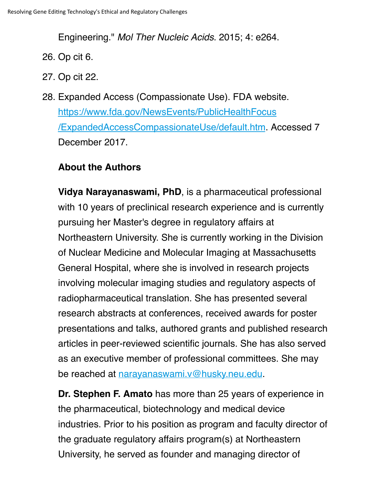Engineering." *Mol Ther Nucleic Acids*. 2015; 4: e264.

- 26. Op cit 6.
- 27. Op cit 22.
- 28. Expanded Access (Compassionate Use). FDA website. https://www.fda.gov/NewsEvents/PublicHealthFocus /ExpandedAccessCompassionateUse/default.htm. Accessed 7 December 2017.

### **About the Authors**

**Vidya Narayanaswami, PhD**, is a pharmaceutical professional with 10 years of preclinical research experience and is currently pursuing her Master's degree in regulatory affairs at Northeastern University. She is currently working in the Division of Nuclear Medicine and Molecular Imaging at Massachusetts General Hospital, where she is involved in research projects involving molecular imaging studies and regulatory aspects of radiopharmaceutical translation. She has presented several research abstracts at conferences, received awards for poster presentations and talks, authored grants and published research articles in peer-reviewed scientific journals. She has also served as an executive member of professional committees. She may be reached at narayanaswami.v@husky.neu.edu.

**Dr. Stephen F. Amato** has more than 25 years of experience in the pharmaceutical, biotechnology and medical device industries. Prior to his position as program and faculty director of the graduate regulatory affairs program(s) at Northeastern University, he served as founder and managing director of